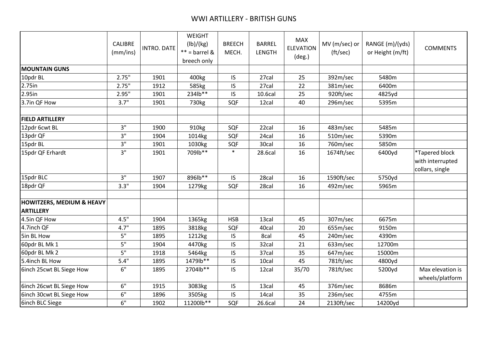|                                                          | <b>CALIBRE</b><br>(mm/ins) | <b>INTRO. DATE</b> | <b>WEIGHT</b><br>(lb)/(kg)<br>$**$ = barrel &<br>breech only | <b>BREECH</b><br>MECH. | <b>BARREL</b><br><b>LENGTH</b> | <b>MAX</b><br><b>ELEVATION</b><br>$(\text{deg.})$ | MV (m/sec) or<br>(tt/sec) | RANGE (m)/(yds)<br>or Height (m/ft) | <b>COMMENTS</b>                                       |
|----------------------------------------------------------|----------------------------|--------------------|--------------------------------------------------------------|------------------------|--------------------------------|---------------------------------------------------|---------------------------|-------------------------------------|-------------------------------------------------------|
| <b>MOUNTAIN GUNS</b>                                     |                            |                    |                                                              |                        |                                |                                                   |                           |                                     |                                                       |
| 10pdr BL                                                 | 2.75"                      | 1901               | 400kg                                                        | <b>IS</b>              | 27cal                          | 25                                                | 392m/sec                  | 5480m                               |                                                       |
| 2.75in                                                   | 2.75"                      | 1912               | 585kg                                                        | IS                     | 27cal                          | 22                                                | 381m/sec                  | 6400m                               |                                                       |
| 2.95in                                                   | 2.95"                      | 1901               | 234lb**                                                      | <b>IS</b>              | 10.6cal                        | 25                                                | 920ft/sec                 | 4825yd                              |                                                       |
| 3.7in QF How                                             | 3.7"                       | 1901               | 730kg                                                        | SQF                    | 12cal                          | 40                                                | 296m/sec                  | 5395m                               |                                                       |
| <b>FIELD ARTILLERY</b>                                   |                            |                    |                                                              |                        |                                |                                                   |                           |                                     |                                                       |
| 12pdr 6cwt BL                                            | 3"                         | 1900               | 910kg                                                        | SQF                    | 22cal                          | 16                                                | 483m/sec                  | 5485m                               |                                                       |
| 13pdr QF                                                 | 3"                         | 1904               | 1014kg                                                       | SQF                    | 24cal                          | 16                                                | 510m/sec                  | 5390m                               |                                                       |
| 15pdr BL                                                 | 3"                         | 1901               | 1030kg                                                       | SQF                    | 30cal                          | 16                                                | 760m/sec                  | 5850m                               |                                                       |
| 15pdr QF Erhardt                                         | 3"                         | 1901               | 709lb**                                                      | $\ast$                 | 28.6cal                        | 16                                                | 1674ft/sec                | 6400yd                              | *Tapered block<br>with interrupted<br>collars, single |
| 15pdr BLC                                                | 3"                         | 1907               | 896lb**                                                      | <b>IS</b>              | 28cal                          | 16                                                | 1590ft/sec                | 5750yd                              |                                                       |
| 18pdr QF                                                 | 3.3"                       | 1904               | 1279kg                                                       | SQF                    | 28cal                          | 16                                                | 492m/sec                  | 5965m                               |                                                       |
| <b>HOWITZERS, MEDIUM &amp; HEAVY</b><br><b>ARTILLERY</b> |                            |                    |                                                              |                        |                                |                                                   |                           |                                     |                                                       |
| 4.5in QF How                                             | 4.5"                       | 1904               | 1365kg                                                       | <b>HSB</b>             | 13cal                          | 45                                                | 307m/sec                  | 6675m                               |                                                       |
| 4.7inch QF                                               | 4.7"                       | 1895               | 3818kg                                                       | SQF                    | 40cal                          | 20                                                | 655m/sec                  | 9150m                               |                                                       |
| 5in BL How                                               | 5"                         | 1895               | 1212kg                                                       | IS                     | 8cal                           | 45                                                | 240m/sec                  | 4390m                               |                                                       |
| 60pdr BL Mk 1                                            | 5"                         | 1904               | 4470kg                                                       | IS                     | 32cal                          | 21                                                | 633m/sec                  | 12700m                              |                                                       |
| 60pdr BL Mk 2                                            | 5"                         | 1918               | 5464kg                                                       | IS                     | 37cal                          | 35                                                | 647m/sec                  | 15000m                              |                                                       |
| 5.4inch BL How                                           | 5.4"                       | 1895               | 1479lb**                                                     | IS                     | 10cal                          | 45                                                | 781ft/sec                 | 4800yd                              |                                                       |
| 6inch 25cwt BL Siege How                                 | 6"                         | 1895               | 2704lb**                                                     | <b>IS</b>              | 12cal                          | 35/70                                             | 781ft/sec                 | 5200yd                              | Max elevation is<br>wheels/platform                   |
| 6inch 26cwt BL Siege How                                 | 6"                         | 1915               | 3083kg                                                       | $\sf IS$               | 13cal                          | 45                                                | 376m/sec                  | 8686m                               |                                                       |
| 6inch 30cwt BL Siege How                                 | 6"                         | 1896               | 3505kg                                                       | IS                     | 14cal                          | 35                                                | 236m/sec                  | 4755m                               |                                                       |
| <b>6inch BLC Siege</b>                                   | 6"                         | 1902               | 11200lb**                                                    | SQF                    | 26.6cal                        | 24                                                | 2130ft/sec                | 14200yd                             |                                                       |
|                                                          |                            |                    |                                                              |                        |                                |                                                   |                           |                                     |                                                       |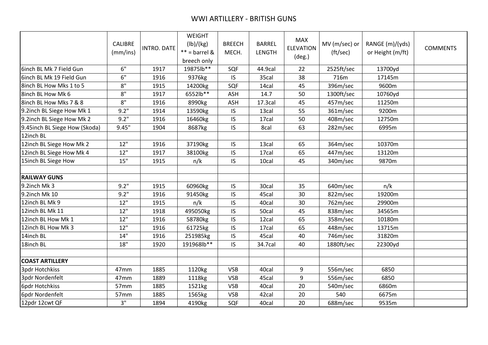|                               | <b>CALIBRE</b><br>(mm/ins) | INTRO. DATE | WEIGHT<br>(lb)/(kg)<br>$** =$ barrel &<br>breech only | <b>BREECH</b><br>MECH. | <b>BARREL</b><br>LENGTH | <b>MAX</b><br><b>ELEVATION</b><br>$(\text{deg.})$ | MV (m/sec) or<br>(ft/sec) | RANGE (m)/(yds)<br>or Height (m/ft) | <b>COMMENTS</b> |
|-------------------------------|----------------------------|-------------|-------------------------------------------------------|------------------------|-------------------------|---------------------------------------------------|---------------------------|-------------------------------------|-----------------|
| 6inch BL Mk 7 Field Gun       | 6"                         | 1917        | 19875lb**                                             | SQF                    | 44.9cal                 | 22                                                | 2525ft/sec                | 13700yd                             |                 |
| 6inch BL Mk 19 Field Gun      | 6"                         | 1916        | 9376kg                                                | IS                     | 35cal                   | 38                                                | 716m                      | 17145m                              |                 |
| 8inch BL How Mks 1 to 5       | $8"$                       | 1915        | 14200kg                                               | SQF                    | 14cal                   | 45                                                | 396m/sec                  | 9600m                               |                 |
| 8inch BL How Mk 6             | $8"$                       | 1917        | 6552lb**                                              | ASH                    | 14.7                    | 50                                                | 1300ft/sec                | 10760yd                             |                 |
| 8inch BL How Mks 7 & 8        | 8"                         | 1916        | 8990kg                                                | ASH                    | 17.3cal                 | 45                                                | 457m/sec                  | 11250m                              |                 |
| 9.2inch BL Siege How Mk 1     | 9.2"                       | 1914        | 13590kg                                               | IS                     | 13cal                   | 55                                                | 361m/sec                  | 9200m                               |                 |
| 9.2inch BL Siege How Mk 2     | 9.2"                       | 1916        | 16460kg                                               | IS                     | 17cal                   | 50                                                | 408m/sec                  | 12750m                              |                 |
| 9.45inch BL Siege How (Skoda) | 9.45"                      | 1904        | 8687kg                                                | IS                     | 8cal                    | 63                                                | 282m/sec                  | 6995m                               |                 |
| 12inch BL                     |                            |             |                                                       |                        |                         |                                                   |                           |                                     |                 |
| 12inch BL Siege How Mk 2      | 12"                        | 1916        | 37190kg                                               | IS                     | 13cal                   | 65                                                | 364m/sec                  | 10370m                              |                 |
| 12inch BL Siege How Mk 4      | 12"                        | 1917        | 38100kg                                               | IS                     | 17cal                   | 65                                                | 447m/sec                  | 13120m                              |                 |
| 15inch BL Siege How           | 15"                        | 1915        | n/k                                                   | IS                     | 10cal                   | 45                                                | 340m/sec                  | 9870m                               |                 |
|                               |                            |             |                                                       |                        |                         |                                                   |                           |                                     |                 |
| <b>RAILWAY GUNS</b>           |                            |             |                                                       |                        |                         |                                                   |                           |                                     |                 |
| 9.2inch Mk 3                  | 9.2"                       | 1915        | 60960kg                                               | IS                     | 30cal                   | 35                                                | 640m/sec                  | n/k                                 |                 |
| 9.2inch Mk 10                 | 9.2"                       | 1916        | 91450kg                                               | IS                     | 45cal                   | 30                                                | 822m/sec                  | 19200m                              |                 |
| 12inch BL Mk 9                | 12"                        | 1915        | n/k                                                   | IS                     | 40cal                   | 30                                                | 762m/sec                  | 29900m                              |                 |
| 12inch BL Mk 11               | 12"                        | 1918        | 495050kg                                              | IS                     | 50cal                   | 45                                                | 838m/sec                  | 34565m                              |                 |
| 12inch BL How Mk 1            | 12"                        | 1916        | 58780kg                                               | IS                     | 12cal                   | 65                                                | 358m/sec                  | 10180m                              |                 |
| 12inch BL How Mk 3            | 12"                        | 1916        | 61725kg                                               | IS                     | 17cal                   | 65                                                | 448m/sec                  | 13715m                              |                 |
| 14inch BL                     | 14"                        | 1916        | 251985kg                                              | IS                     | 45cal                   | 40                                                | 746m/sec                  | 31820m                              |                 |
| 18inch BL                     | 18"                        | 1920        | 191968lb**                                            | IS                     | 34.7cal                 | 40                                                | 1880ft/sec                | 22300yd                             |                 |
|                               |                            |             |                                                       |                        |                         |                                                   |                           |                                     |                 |
| <b>COAST ARTILLERY</b>        |                            |             |                                                       |                        |                         |                                                   |                           |                                     |                 |
| <b>3pdr Hotchkiss</b>         | 47 <sub>mm</sub>           | 1885        | 1120kg                                                | <b>VSB</b>             | 40cal                   | 9                                                 | 556m/sec                  | 6850                                |                 |
| 3pdr Nordenfelt               | 47mm                       | 1889        | 1118kg                                                | <b>VSB</b>             | 45cal                   | 9                                                 | 556m/sec                  | 6850                                |                 |
| 6pdr Hotchkiss                | 57mm                       | 1885        | 1521kg                                                | <b>VSB</b>             | 40cal                   | 20                                                | 540m/sec                  | 6860m                               |                 |
| 6pdr Nordenfelt               | 57mm                       | 1885        | 1565kg                                                | <b>VSB</b>             | 42cal                   | 20                                                | 540                       | 6675m                               |                 |
| 12pdr 12cwt QF                | 3"                         | 1894        | 4190kg                                                | SQF                    | 40cal                   | 20                                                | 688m/sec                  | 9535m                               |                 |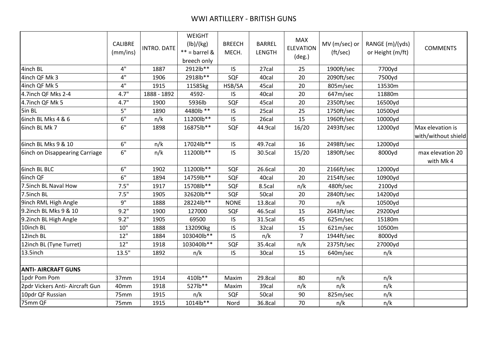|                                 | <b>CALIBRE</b><br>(mm/ins) | <b>INTRO. DATE</b> | WEIGHT<br>(lb)/(kg)<br>$** =$ barrel &<br>breech only | <b>BREECH</b><br>MECH. | <b>BARREL</b><br>LENGTH | <b>MAX</b><br><b>ELEVATION</b><br>$(\text{deg.})$ | MV (m/sec) or<br>(ft/sec) | RANGE (m)/(yds)<br>or Height (m/ft) | <b>COMMENTS</b>                         |
|---------------------------------|----------------------------|--------------------|-------------------------------------------------------|------------------------|-------------------------|---------------------------------------------------|---------------------------|-------------------------------------|-----------------------------------------|
| 4inch BL                        | 4"                         | 1887               | 2912lb**                                              | IS.                    | 27cal                   | 25                                                | 1900ft/sec                | 7700yd                              |                                         |
| 4inch QF Mk 3                   | 4"                         | 1906               | 2918lb**                                              | SQF                    | 40cal                   | 20                                                | 2090ft/sec                | 7500yd                              |                                         |
| 4inch QF Mk 5                   | 4"                         | 1915               | 11585kg                                               | HSB/SA                 | 45cal                   | 20                                                | 805m/sec                  | 13530m                              |                                         |
| 4.7inch QF Mks 2-4              | 4.7"                       | 1888 - 1892        | 4592-                                                 | IS                     | 40cal                   | 20                                                | 647m/sec                  | 11880m                              |                                         |
| 4.7inch QF Mk 5                 | 4.7"                       | 1900               | 5936lb                                                | SQF                    | 45cal                   | 20                                                | 2350ft/sec                | 16500yd                             |                                         |
| 5in BL                          | 5"                         | 1890               | 4480lb **                                             | IS                     | 25cal                   | 25                                                | 1750ft/sec                | 10500yd                             |                                         |
| 6inch BL Mks 4 & 6              | 6"                         | n/k                | 11200lb**                                             | IS                     | 26cal                   | 15                                                | 1960ft/sec                | 10000yd                             |                                         |
| 6inch BL Mk 7                   | 6"                         | 1898               | 16875lb**                                             | SQF                    | 44.9cal                 | 16/20                                             | 2493ft/sec                | 12000yd                             | Max elevation is<br>with/without shield |
| 6inch BL Mks 9 & 10             | 6"                         | n/k                | 17024lb**                                             | <b>IS</b>              | 49.7cal                 | 16                                                | 2498ft/sec                | 12000yd                             |                                         |
| 6inch on Disappearing Carriage  | 6"                         | n/k                | 11200lb**                                             | IS.                    | 30.5cal                 | 15/20                                             | 1890ft/sec                | 8000yd                              | max elevation 20<br>with Mk 4           |
| <b>6inch BL BLC</b>             | 6"                         | 1902               | 11200lb**                                             | SQF                    | 26.6cal                 | 20                                                | 2166ft/sec                | 12000yd                             |                                         |
| 6inch QF                        | 6"                         | 1894               | 14759lb**                                             | SQF                    | 40cal                   | 20                                                | 2154ft/sec                | 10900yd                             |                                         |
| 7.5inch BL Naval How            | 7.5"                       | 1917               | 15708lb**                                             | SQF                    | 8.5cal                  | n/k                                               | 480ft/sec                 | 2100yd                              |                                         |
| 7.5inch BL                      | 7.5"                       | 1905               | 32620lb**                                             | SQF                    | 50cal                   | 20                                                | 2840ft/sec                | 14200yd                             |                                         |
| 9inch RML High Angle            | 9"                         | 1888               | 28224lb**                                             | <b>NONE</b>            | 13.8cal                 | 70                                                | n/k                       | 10500yd                             |                                         |
| 9.2inch BL Mks 9 & 10           | 9.2"                       | 1900               | 127000                                                | SQF                    | 46.5cal                 | 15                                                | 2643ft/sec                | 29200yd                             |                                         |
| 9.2inch BL High Angle           | 9.2"                       | 1905               | 69500                                                 | IS                     | 31.5cal                 | 45                                                | 625m/sec                  | 15180m                              |                                         |
| 10inch BL                       | 10"                        | 1888               | 132090kg                                              | IS                     | 32cal                   | 15                                                | 621m/sec                  | 10500m                              |                                         |
| 12inch BL                       | 12"                        | 1884               | 103040lb**                                            | IS                     | n/k                     | $\overline{7}$                                    | 1944ft/sec                | 8000yd                              |                                         |
| 12inch BL (Tyne Turret)         | 12"                        | 1918               | 103040lb**                                            | SQF                    | 35.4cal                 | n/k                                               | 2375ft/sec                | 27000yd                             |                                         |
| 13.5inch                        | 13.5"                      | 1892               | n/k                                                   | IS.                    | 30cal                   | 15                                                | 640m/sec                  | n/k                                 |                                         |
| <b>ANTI- AIRCRAFT GUNS</b>      |                            |                    |                                                       |                        |                         |                                                   |                           |                                     |                                         |
| 1pdr Pom Pom                    | 37mm                       | 1914               | 410lb**                                               | Maxim                  | 29.8cal                 | 80                                                | n/k                       | n/k                                 |                                         |
| 2pdr Vickers Anti- Aircraft Gun | 40mm                       | 1918               | 527lb**                                               | Maxim                  | 39cal                   | n/k                                               | n/k                       | n/k                                 |                                         |
| 10pdr QF Russian                | 75mm                       | 1915               | n/k                                                   | SQF                    | 50cal                   | 90                                                | 825m/sec                  | n/k                                 |                                         |
| 75mm QF                         | 75mm                       | 1915               | 1014lb**                                              | Nord                   | 36.8cal                 | 70                                                | n/k                       | n/k                                 |                                         |